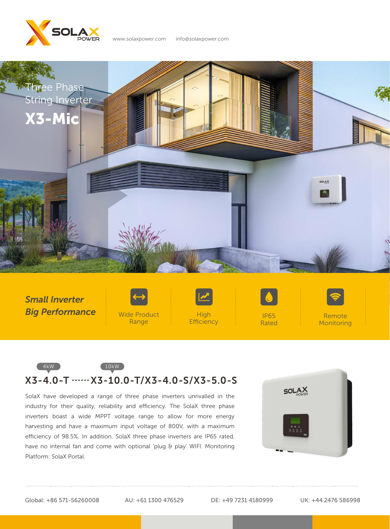



*Small Inverter Big Performance*





**Efficiency** 

IP65 Rated



Remote **Monitoring** 

## 4kW 10kW  $X3 - 4.0 - T \dots \times 3 - 10.0 - T / X3 - 4.0 - S / X3 - 5.0 - S$

SolaX have developed a range of three phase inverters unrivalled in the industry for their quality, reliability and efficiency. The SolaX three phase inverters boast a wide MPPT voltage range to allow for more energy harvesting and have a maximum input voltage of 800V, with a maximum efficiency of 98.5%. In addition, SolaX three phase inverters are IP65 rated, have no internal fan and come with optional 'plug & play' WIFI. Monitoring Platform: SolaX Portal.